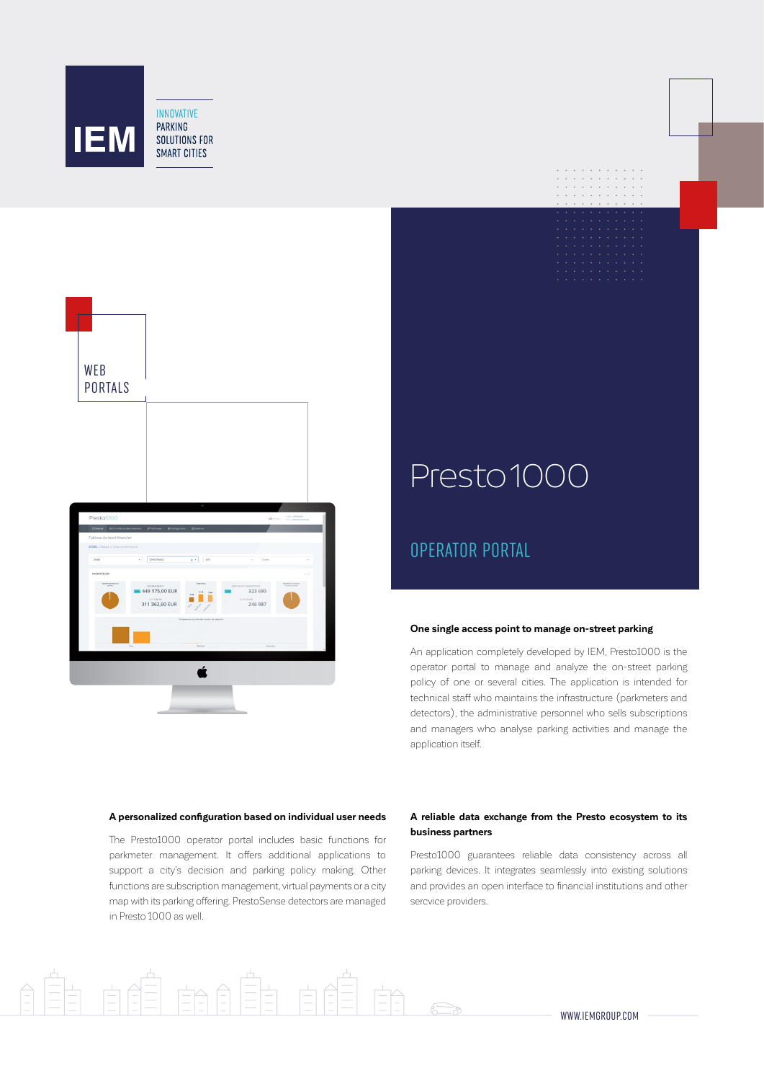



# Presto 1000

## OPERATOR PORTAL

#### **One single access point to manage on-street parking**

An application completely developed by IEM, Presto1000 is the operator portal to manage and analyze the on-street parking policy of one or several cities. The application is intended for technical staff who maintains the infrastructure (parkmeters and detectors), the administrative personnel who sells subscriptions and managers who analyse parking activities and manage the application itself.

#### **A personalized configuration based on individual user needs**

The Presto1000 operator portal includes basic functions for parkmeter management. It offers additional applications to support a city's decision and parking policy making. Other functions are subscription management, virtual payments or a city map with its parking offering. PrestoSense detectors are managed in Presto 1000 as well.

 $\equiv$ 

#### **A reliable data exchange from the Presto ecosystem to its business partners**

Presto1000 guarantees reliable data consistency across all parking devices. It integrates seamlessly into existing solutions and provides an open interface to financial institutions and other sercvice providers.